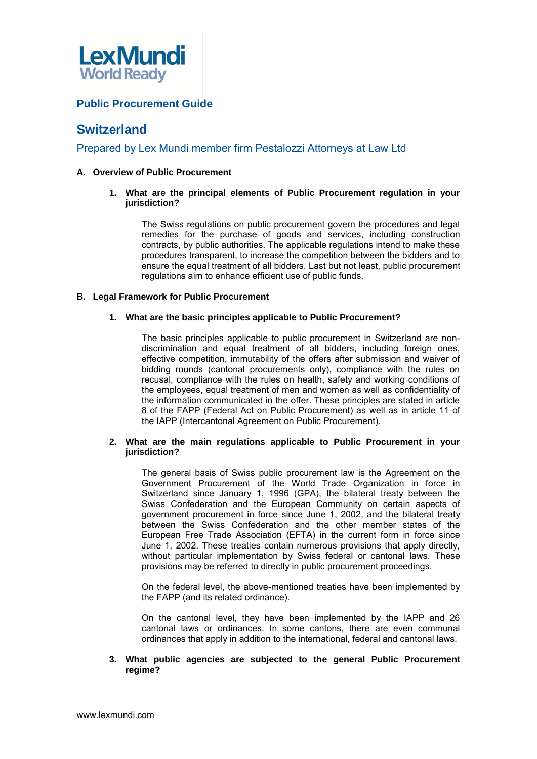

# **Public Procurement Guide**

# **Switzerland**

## Prepared by Lex Mundi member firm [Pestalozzi Attorneys at Law Ltd](http://www.pestalozzilaw.com/)

## **A. Overview of Public Procurement**

**1. What are the principal elements of Public Procurement regulation in your jurisdiction?** 

The Swiss regulations on public procurement govern the procedures and legal remedies for the purchase of goods and services, including construction contracts, by public authorities. The applicable regulations intend to make these procedures transparent, to increase the competition between the bidders and to ensure the equal treatment of all bidders. Last but not least, public procurement regulations aim to enhance efficient use of public funds.

## **B. Legal Framework for Public Procurement**

## **1. What are the basic principles applicable to Public Procurement?**

The basic principles applicable to public procurement in Switzerland are nondiscrimination and equal treatment of all bidders, including foreign ones, effective competition, immutability of the offers after submission and waiver of bidding rounds (cantonal procurements only), compliance with the rules on recusal, compliance with the rules on health, safety and working conditions of the employees, equal treatment of men and women as well as confidentiality of the information communicated in the offer. These principles are stated in article 8 of the FAPP (Federal Act on Public Procurement) as well as in article 11 of the IAPP (Intercantonal Agreement on Public Procurement).

## **2. What are the main regulations applicable to Public Procurement in your jurisdiction?**

The general basis of Swiss public procurement law is the Agreement on the Government Procurement of the World Trade Organization in force in Switzerland since January 1, 1996 (GPA), the bilateral treaty between the Swiss Confederation and the European Community on certain aspects of government procurement in force since June 1, 2002, and the bilateral treaty between the Swiss Confederation and the other member states of the European Free Trade Association (EFTA) in the current form in force since June 1, 2002. These treaties contain numerous provisions that apply directly, without particular implementation by Swiss federal or cantonal laws. These provisions may be referred to directly in public procurement proceedings.

On the federal level, the above-mentioned treaties have been implemented by the FAPP (and its related ordinance).

On the cantonal level, they have been implemented by the IAPP and 26 cantonal laws or ordinances. In some cantons, there are even communal ordinances that apply in addition to the international, federal and cantonal laws.

## **3. What public agencies are subjected to the general Public Procurement regime?**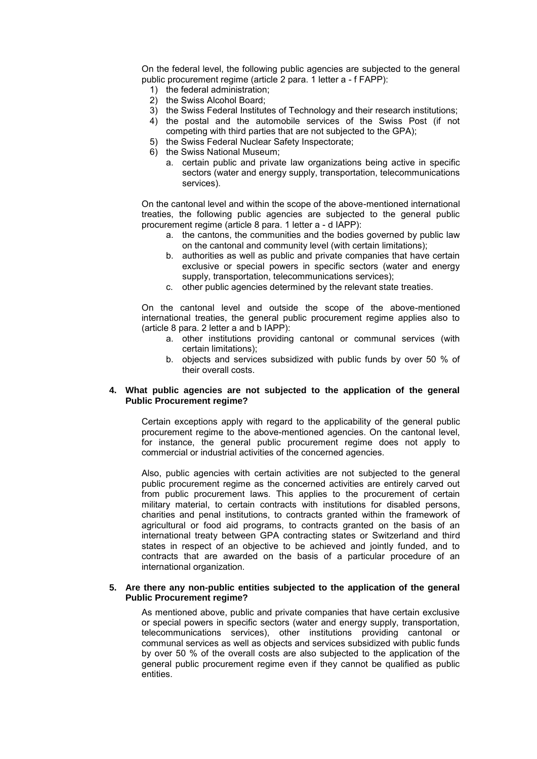On the federal level, the following public agencies are subjected to the general public procurement regime (article 2 para. 1 letter a - f FAPP):

- 1) the federal administration;
- 2) the Swiss Alcohol Board;
- 3) the Swiss Federal Institutes of Technology and their research institutions;
- 4) the postal and the automobile services of the Swiss Post (if not competing with third parties that are not subjected to the GPA);
- 5) the Swiss Federal Nuclear Safety Inspectorate;
- 6) the Swiss National Museum;
	- a. certain public and private law organizations being active in specific sectors (water and energy supply, transportation, telecommunications services).

On the cantonal level and within the scope of the above-mentioned international treaties, the following public agencies are subjected to the general public procurement regime (article 8 para. 1 letter a - d IAPP):

- a. the cantons, the communities and the bodies governed by public law on the cantonal and community level (with certain limitations);
- b. authorities as well as public and private companies that have certain exclusive or special powers in specific sectors (water and energy supply, transportation, telecommunications services);
- c. other public agencies determined by the relevant state treaties.

On the cantonal level and outside the scope of the above-mentioned international treaties, the general public procurement regime applies also to (article 8 para. 2 letter a and b IAPP):

- a. other institutions providing cantonal or communal services (with certain limitations);
- b. objects and services subsidized with public funds by over 50 % of their overall costs.

## **4. What public agencies are not subjected to the application of the general Public Procurement regime?**

Certain exceptions apply with regard to the applicability of the general public procurement regime to the above-mentioned agencies. On the cantonal level, for instance, the general public procurement regime does not apply to commercial or industrial activities of the concerned agencies.

Also, public agencies with certain activities are not subjected to the general public procurement regime as the concerned activities are entirely carved out from public procurement laws. This applies to the procurement of certain military material, to certain contracts with institutions for disabled persons, charities and penal institutions, to contracts granted within the framework of agricultural or food aid programs, to contracts granted on the basis of an international treaty between GPA contracting states or Switzerland and third states in respect of an objective to be achieved and jointly funded, and to contracts that are awarded on the basis of a particular procedure of an international organization.

## **5. Are there any non-public entities subjected to the application of the general Public Procurement regime?**

As mentioned above, public and private companies that have certain exclusive or special powers in specific sectors (water and energy supply, transportation, telecommunications services), other institutions providing cantonal or communal services as well as objects and services subsidized with public funds by over 50 % of the overall costs are also subjected to the application of the general public procurement regime even if they cannot be qualified as public entities.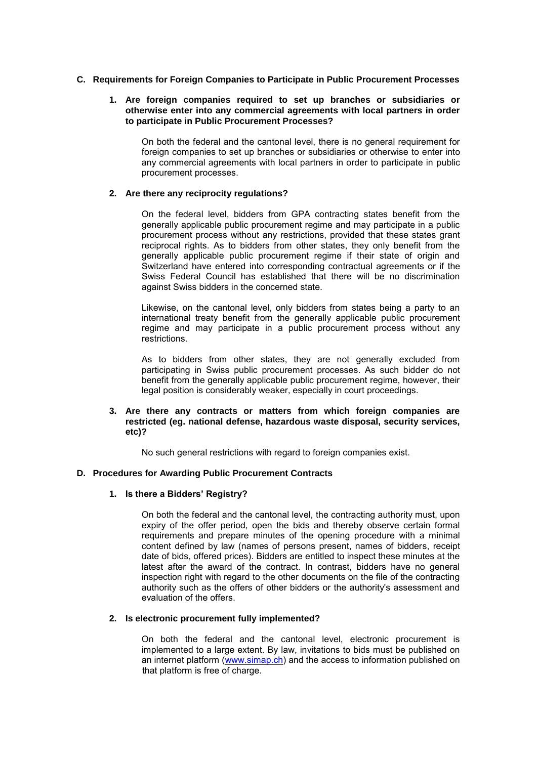## **C. Requirements for Foreign Companies to Participate in Public Procurement Processes**

## **1. Are foreign companies required to set up branches or subsidiaries or otherwise enter into any commercial agreements with local partners in order to participate in Public Procurement Processes?**

On both the federal and the cantonal level, there is no general requirement for foreign companies to set up branches or subsidiaries or otherwise to enter into any commercial agreements with local partners in order to participate in public procurement processes.

## **2. Are there any reciprocity regulations?**

On the federal level, bidders from GPA contracting states benefit from the generally applicable public procurement regime and may participate in a public procurement process without any restrictions, provided that these states grant reciprocal rights. As to bidders from other states, they only benefit from the generally applicable public procurement regime if their state of origin and Switzerland have entered into corresponding contractual agreements or if the Swiss Federal Council has established that there will be no discrimination against Swiss bidders in the concerned state.

Likewise, on the cantonal level, only bidders from states being a party to an international treaty benefit from the generally applicable public procurement regime and may participate in a public procurement process without any restrictions.

As to bidders from other states, they are not generally excluded from participating in Swiss public procurement processes. As such bidder do not benefit from the generally applicable public procurement regime, however, their legal position is considerably weaker, especially in court proceedings.

## **3. Are there any contracts or matters from which foreign companies are restricted (eg. national defense, hazardous waste disposal, security services, etc)?**

No such general restrictions with regard to foreign companies exist.

## **D. Procedures for Awarding Public Procurement Contracts**

## **1. Is there a Bidders' Registry?**

On both the federal and the cantonal level, the contracting authority must, upon expiry of the offer period, open the bids and thereby observe certain formal requirements and prepare minutes of the opening procedure with a minimal content defined by law (names of persons present, names of bidders, receipt date of bids, offered prices). Bidders are entitled to inspect these minutes at the latest after the award of the contract. In contrast, bidders have no general inspection right with regard to the other documents on the file of the contracting authority such as the offers of other bidders or the authority's assessment and evaluation of the offers.

## **2. Is electronic procurement fully implemented?**

On both the federal and the cantonal level, electronic procurement is implemented to a large extent. By law, invitations to bids must be published on an internet platform [\(www.simap.ch\)](http://www.simap.ch/) and the access to information published on that platform is free of charge.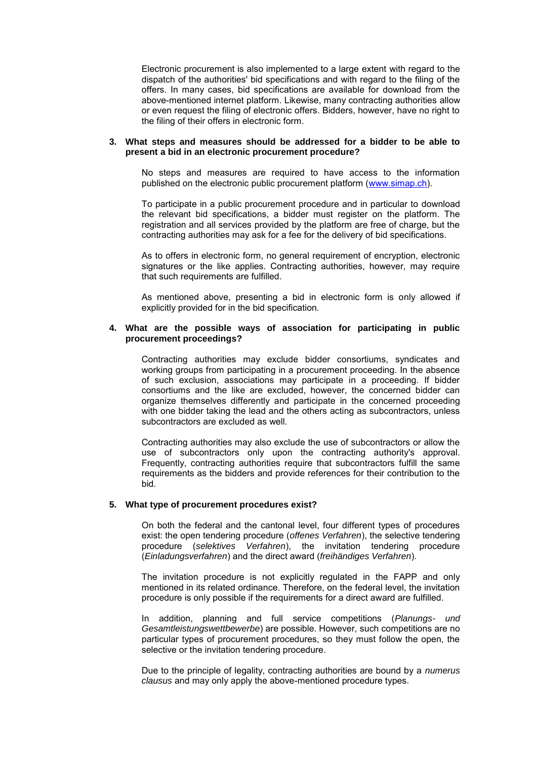Electronic procurement is also implemented to a large extent with regard to the dispatch of the authorities' bid specifications and with regard to the filing of the offers. In many cases, bid specifications are available for download from the above-mentioned internet platform. Likewise, many contracting authorities allow or even request the filing of electronic offers. Bidders, however, have no right to the filing of their offers in electronic form.

#### **3. What steps and measures should be addressed for a bidder to be able to present a bid in an electronic procurement procedure?**

No steps and measures are required to have access to the information published on the electronic public procurement platform [\(www.simap.ch\)](http://www.simap.ch/).

To participate in a public procurement procedure and in particular to download the relevant bid specifications, a bidder must register on the platform. The registration and all services provided by the platform are free of charge, but the contracting authorities may ask for a fee for the delivery of bid specifications.

As to offers in electronic form, no general requirement of encryption, electronic signatures or the like applies. Contracting authorities, however, may require that such requirements are fulfilled.

As mentioned above, presenting a bid in electronic form is only allowed if explicitly provided for in the bid specification.

## **4. What are the possible ways of association for participating in public procurement proceedings?**

Contracting authorities may exclude bidder consortiums, syndicates and working groups from participating in a procurement proceeding. In the absence of such exclusion, associations may participate in a proceeding. If bidder consortiums and the like are excluded, however, the concerned bidder can organize themselves differently and participate in the concerned proceeding with one bidder taking the lead and the others acting as subcontractors, unless subcontractors are excluded as well.

Contracting authorities may also exclude the use of subcontractors or allow the use of subcontractors only upon the contracting authority's approval. Frequently, contracting authorities require that subcontractors fulfill the same requirements as the bidders and provide references for their contribution to the bid.

## **5. What type of procurement procedures exist?**

On both the federal and the cantonal level, four different types of procedures exist: the open tendering procedure (*offenes Verfahren*), the selective tendering procedure (*selektives Verfahren*), the invitation tendering procedure (*Einladungsverfahren*) and the direct award (*freihändiges Verfahren*).

The invitation procedure is not explicitly regulated in the FAPP and only mentioned in its related ordinance. Therefore, on the federal level, the invitation procedure is only possible if the requirements for a direct award are fulfilled.

In addition, planning and full service competitions (*Planungs- und Gesamtleistungswettbewerbe*) are possible. However, such competitions are no particular types of procurement procedures, so they must follow the open, the selective or the invitation tendering procedure.

Due to the principle of legality, contracting authorities are bound by a *numerus clausus* and may only apply the above-mentioned procedure types.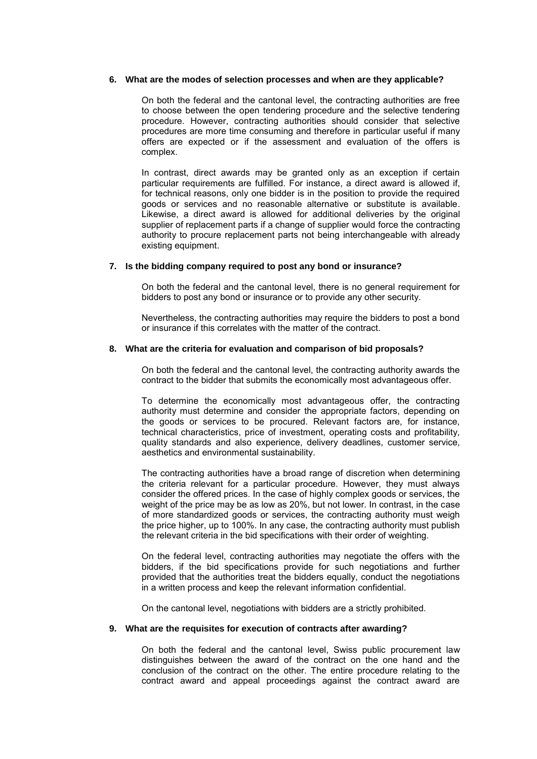#### **6. What are the modes of selection processes and when are they applicable?**

On both the federal and the cantonal level, the contracting authorities are free to choose between the open tendering procedure and the selective tendering procedure. However, contracting authorities should consider that selective procedures are more time consuming and therefore in particular useful if many offers are expected or if the assessment and evaluation of the offers is complex.

In contrast, direct awards may be granted only as an exception if certain particular requirements are fulfilled. For instance, a direct award is allowed if, for technical reasons, only one bidder is in the position to provide the required goods or services and no reasonable alternative or substitute is available. Likewise, a direct award is allowed for additional deliveries by the original supplier of replacement parts if a change of supplier would force the contracting authority to procure replacement parts not being interchangeable with already existing equipment.

#### **7. Is the bidding company required to post any bond or insurance?**

On both the federal and the cantonal level, there is no general requirement for bidders to post any bond or insurance or to provide any other security.

Nevertheless, the contracting authorities may require the bidders to post a bond or insurance if this correlates with the matter of the contract.

#### **8. What are the criteria for evaluation and comparison of bid proposals?**

On both the federal and the cantonal level, the contracting authority awards the contract to the bidder that submits the economically most advantageous offer.

To determine the economically most advantageous offer, the contracting authority must determine and consider the appropriate factors, depending on the goods or services to be procured. Relevant factors are, for instance, technical characteristics, price of investment, operating costs and profitability, quality standards and also experience, delivery deadlines, customer service, aesthetics and environmental sustainability.

The contracting authorities have a broad range of discretion when determining the criteria relevant for a particular procedure. However, they must always consider the offered prices. In the case of highly complex goods or services, the weight of the price may be as low as 20%, but not lower. In contrast, in the case of more standardized goods or services, the contracting authority must weigh the price higher, up to 100%. In any case, the contracting authority must publish the relevant criteria in the bid specifications with their order of weighting.

On the federal level, contracting authorities may negotiate the offers with the bidders, if the bid specifications provide for such negotiations and further provided that the authorities treat the bidders equally, conduct the negotiations in a written process and keep the relevant information confidential.

On the cantonal level, negotiations with bidders are a strictly prohibited.

#### **9. What are the requisites for execution of contracts after awarding?**

contract award and appeal proceedings against the contract award are On both the federal and the cantonal level, Swiss public procurement law distinguishes between the award of the contract on the one hand and the conclusion of the contract on the other. The entire procedure relating to the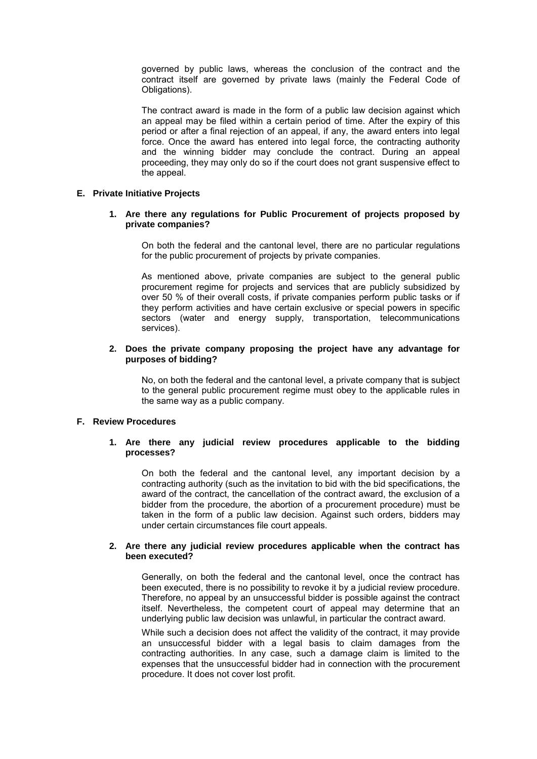governed by public laws, whereas the conclusion of the contract and the contract itself are governed by private laws (mainly the Federal Code of Obligations).

The contract award is made in the form of a public law decision against which an appeal may be filed within a certain period of time. After the expiry of this period or after a final rejection of an appeal, if any, the award enters into legal force. Once the award has entered into legal force, the contracting authority and the winning bidder may conclude the contract. During an appeal proceeding, they may only do so if the court does not grant suspensive effect to the appeal.

## **E. Private Initiative Projects**

## **1. Are there any regulations for Public Procurement of projects proposed by private companies?**

On both the federal and the cantonal level, there are no particular regulations for the public procurement of projects by private companies.

As mentioned above, private companies are subject to the general public procurement regime for projects and services that are publicly subsidized by over 50 % of their overall costs, if private companies perform public tasks or if they perform activities and have certain exclusive or special powers in specific sectors (water and energy supply, transportation, telecommunications services).

#### **2. Does the private company proposing the project have any advantage for purposes of bidding?**

No, on both the federal and the cantonal level, a private company that is subject to the general public procurement regime must obey to the applicable rules in the same way as a public company.

## **F. Review Procedures**

## **1. Are there any judicial review procedures applicable to the bidding processes?**

On both the federal and the cantonal level, any important decision by a contracting authority (such as the invitation to bid with the bid specifications, the award of the contract, the cancellation of the contract award, the exclusion of a bidder from the procedure, the abortion of a procurement procedure) must be taken in the form of a public law decision. Against such orders, bidders may under certain circumstances file court appeals.

## **2. Are there any judicial review procedures applicable when the contract has been executed?**

Generally, on both the federal and the cantonal level, once the contract has been executed, there is no possibility to revoke it by a judicial review procedure. Therefore, no appeal by an unsuccessful bidder is possible against the contract itself. Nevertheless, the competent court of appeal may determine that an underlying public law decision was unlawful, in particular the contract award.

While such a decision does not affect the validity of the contract, it may provide an unsuccessful bidder with a legal basis to claim damages from the contracting authorities. In any case, such a damage claim is limited to the expenses that the unsuccessful bidder had in connection with the procurement procedure. It does not cover lost profit.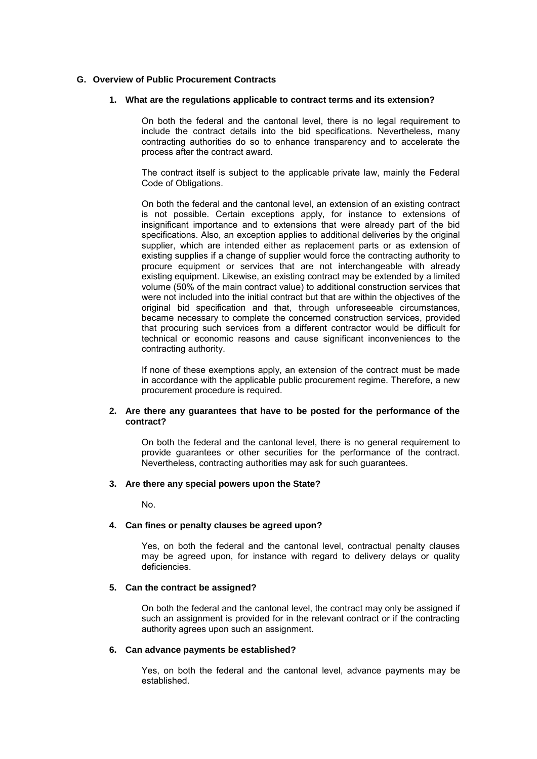## **G. Overview of Public Procurement Contracts**

## **1. What are the regulations applicable to contract terms and its extension?**

On both the federal and the cantonal level, there is no legal requirement to include the contract details into the bid specifications. Nevertheless, many contracting authorities do so to enhance transparency and to accelerate the process after the contract award.

The contract itself is subject to the applicable private law, mainly the Federal Code of Obligations.

On both the federal and the cantonal level, an extension of an existing contract is not possible. Certain exceptions apply, for instance to extensions of insignificant importance and to extensions that were already part of the bid specifications. Also, an exception applies to additional deliveries by the original supplier, which are intended either as replacement parts or as extension of existing supplies if a change of supplier would force the contracting authority to procure equipment or services that are not interchangeable with already existing equipment. Likewise, an existing contract may be extended by a limited volume (50% of the main contract value) to additional construction services that were not included into the initial contract but that are within the objectives of the original bid specification and that, through unforeseeable circumstances, became necessary to complete the concerned construction services, provided that procuring such services from a different contractor would be difficult for technical or economic reasons and cause significant inconveniences to the contracting authority.

If none of these exemptions apply, an extension of the contract must be made in accordance with the applicable public procurement regime. Therefore, a new procurement procedure is required.

#### **2. Are there any guarantees that have to be posted for the performance of the contract?**

On both the federal and the cantonal level, there is no general requirement to provide guarantees or other securities for the performance of the contract. Nevertheless, contracting authorities may ask for such guarantees.

## **3. Are there any special powers upon the State?**

No.

## **4. Can fines or penalty clauses be agreed upon?**

Yes, on both the federal and the cantonal level, contractual penalty clauses may be agreed upon, for instance with regard to delivery delays or quality deficiencies.

## **5. Can the contract be assigned?**

On both the federal and the cantonal level, the contract may only be assigned if such an assignment is provided for in the relevant contract or if the contracting authority agrees upon such an assignment.

## **6. Can advance payments be established?**

Yes, on both the federal and the cantonal level, advance payments may be established.